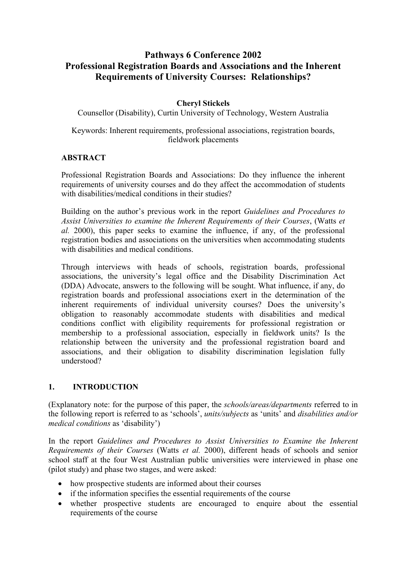# **Pathways 6 Conference 2002 Professional Registration Boards and Associations and the Inherent Requirements of University Courses: Relationships?**

## **Cheryl Stickels**

Counsellor (Disability), Curtin University of Technology, Western Australia

#### Keywords: Inherent requirements, professional associations, registration boards, fieldwork placements

#### **ABSTRACT**

Professional Registration Boards and Associations: Do they influence the inherent requirements of university courses and do they affect the accommodation of students with disabilities/medical conditions in their studies?

Building on the author's previous work in the report *Guidelines and Procedures to Assist Universities to examine the Inherent Requirements of their Courses*, (Watts *et al.* 2000), this paper seeks to examine the influence, if any, of the professional registration bodies and associations on the universities when accommodating students with disabilities and medical conditions.

Through interviews with heads of schools, registration boards, professional associations, the university's legal office and the Disability Discrimination Act (DDA) Advocate, answers to the following will be sought. What influence, if any, do registration boards and professional associations exert in the determination of the inherent requirements of individual university courses? Does the university's obligation to reasonably accommodate students with disabilities and medical conditions conflict with eligibility requirements for professional registration or membership to a professional association, especially in fieldwork units? Is the relationship between the university and the professional registration board and associations, and their obligation to disability discrimination legislation fully understood?

### **1. INTRODUCTION**

(Explanatory note: for the purpose of this paper, the *schools/areas/departments* referred to in the following report is referred to as 'schools', *units/subjects* as 'units' and *disabilities and/or medical conditions* as 'disability')

In the report *Guidelines and Procedures to Assist Universities to Examine the Inherent Requirements of their Courses* (Watts *et al.* 2000), different heads of schools and senior school staff at the four West Australian public universities were interviewed in phase one (pilot study) and phase two stages, and were asked:

- how prospective students are informed about their courses
- if the information specifies the essential requirements of the course
- whether prospective students are encouraged to enquire about the essential requirements of the course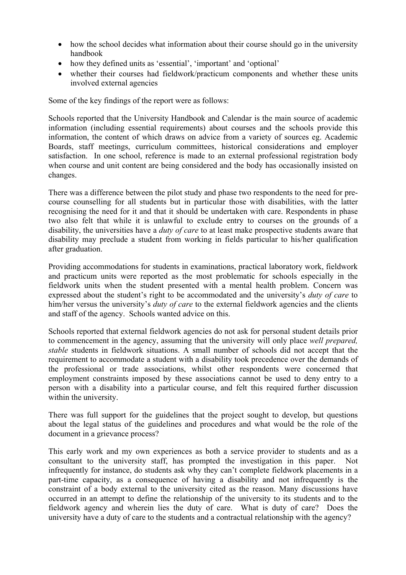- how the school decides what information about their course should go in the university handbook
- how they defined units as 'essential', 'important' and 'optional'
- whether their courses had fieldwork/practicum components and whether these units involved external agencies

Some of the key findings of the report were as follows:

Schools reported that the University Handbook and Calendar is the main source of academic information (including essential requirements) about courses and the schools provide this information, the content of which draws on advice from a variety of sources eg. Academic Boards, staff meetings, curriculum committees, historical considerations and employer satisfaction. In one school, reference is made to an external professional registration body when course and unit content are being considered and the body has occasionally insisted on changes.

There was a difference between the pilot study and phase two respondents to the need for precourse counselling for all students but in particular those with disabilities, with the latter recognising the need for it and that it should be undertaken with care. Respondents in phase two also felt that while it is unlawful to exclude entry to courses on the grounds of a disability, the universities have a *duty of care* to at least make prospective students aware that disability may preclude a student from working in fields particular to his/her qualification after graduation.

Providing accommodations for students in examinations, practical laboratory work, fieldwork and practicum units were reported as the most problematic for schools especially in the fieldwork units when the student presented with a mental health problem. Concern was expressed about the student's right to be accommodated and the university's *duty of care* to him/her versus the university's *duty of care* to the external fieldwork agencies and the clients and staff of the agency. Schools wanted advice on this.

Schools reported that external fieldwork agencies do not ask for personal student details prior to commencement in the agency, assuming that the university will only place *well prepared, stable* students in fieldwork situations. A small number of schools did not accept that the requirement to accommodate a student with a disability took precedence over the demands of the professional or trade associations, whilst other respondents were concerned that employment constraints imposed by these associations cannot be used to deny entry to a person with a disability into a particular course, and felt this required further discussion within the university.

There was full support for the guidelines that the project sought to develop, but questions about the legal status of the guidelines and procedures and what would be the role of the document in a grievance process?

This early work and my own experiences as both a service provider to students and as a consultant to the university staff, has prompted the investigation in this paper. Not infrequently for instance, do students ask why they can't complete fieldwork placements in a part-time capacity, as a consequence of having a disability and not infrequently is the constraint of a body external to the university cited as the reason. Many discussions have occurred in an attempt to define the relationship of the university to its students and to the fieldwork agency and wherein lies the duty of care. What is duty of care? Does the university have a duty of care to the students and a contractual relationship with the agency?